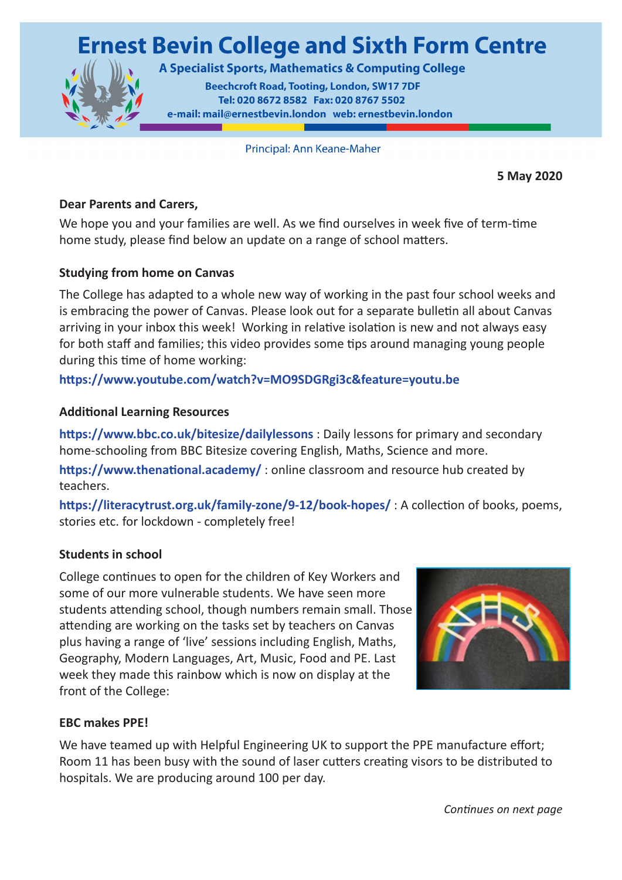# **Ernest Bevin College and Sixth Form Centre**



**A Specialist Sports, Mathematics & Computing College** 

**Beechcroft Road, Tooting, London, SW17 7DF** Tel: 020 8672 8582 Fax: 020 8767 5502 e-mail: mail@ernestbevin.london web: ernestbevin.london

Principal: Ann Keane-Maher

**5 May 2020**

#### **Dear Parents and Carers,**

We hope you and your families are well. As we find ourselves in week five of term-time home study, please find below an update on a range of school matters.

### **Studying from home on Canvas**

The College has adapted to a whole new way of working in the past four school weeks and is embracing the power of Canvas. Please look out for a separate bulletin all about Canvas arriving in your inbox this week! Working in relative isolation is new and not always easy for both staff and families; this video provides some tips around managing young people during this time of home working:

## **https://www.youtube.com/watch?v=MO9SDGRgi3c&feature=youtu.be**

### **Additional Learning Resources**

**https://www.bbc.co.uk/bitesize/dailylessons** : Daily lessons for primary and secondary home-schooling from BBC Bitesize covering English, Maths, Science and more.

**https://www.thenational.academy/** : online classroom and resource hub created by teachers.

**https://literacytrust.org.uk/family-zone/9-12/book-hopes/** : A collection of books, poems, stories etc. for lockdown - completely free!

### **Students in school**

College continues to open for the children of Key Workers and some of our more vulnerable students. We have seen more students attending school, though numbers remain small. Those attending are working on the tasks set by teachers on Canvas plus having a range of 'live' sessions including English, Maths, Geography, Modern Languages, Art, Music, Food and PE. Last week they made this rainbow which is now on display at the front of the College:



### **EBC makes PPE!**

We have teamed up with Helpful Engineering UK to support the PPE manufacture effort; Room 11 has been busy with the sound of laser cutters creating visors to be distributed to hospitals. We are producing around 100 per day.